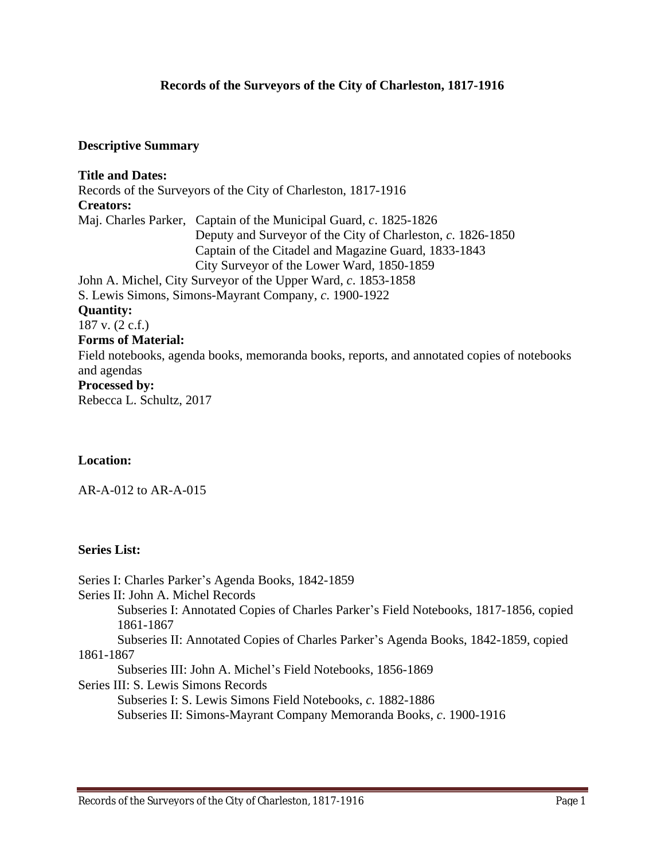## **Records of the Surveyors of the City of Charleston, 1817-1916**

### **Descriptive Summary**

**Title and Dates:** Records of the Surveyors of the City of Charleston, 1817-1916 **Creators:** Maj. Charles Parker, Captain of the Municipal Guard, *c*. 1825-1826 Deputy and Surveyor of the City of Charleston, *c*. 1826-1850 Captain of the Citadel and Magazine Guard, 1833-1843 City Surveyor of the Lower Ward, 1850-1859 John A. Michel, City Surveyor of the Upper Ward, *c*. 1853-1858 S. Lewis Simons, Simons-Mayrant Company, *c*. 1900-1922 **Quantity:** 187 v. (2 c.f.) **Forms of Material:** Field notebooks, agenda books, memoranda books, reports, and annotated copies of notebooks and agendas **Processed by:** Rebecca L. Schultz, 2017

## **Location:**

AR-A-012 to AR-A-015

## **Series List:**

Series I: Charles Parker's Agenda Books, 1842-1859 Series II: John A. Michel Records Subseries I: Annotated Copies of Charles Parker's Field Notebooks, 1817-1856, copied 1861-1867 Subseries II: Annotated Copies of Charles Parker's Agenda Books, 1842-1859, copied 1861-1867 Subseries III: John A. Michel's Field Notebooks, 1856-1869 Series III: S. Lewis Simons Records Subseries I: S. Lewis Simons Field Notebooks, *c*. 1882-1886 Subseries II: Simons-Mayrant Company Memoranda Books, *c*. 1900-1916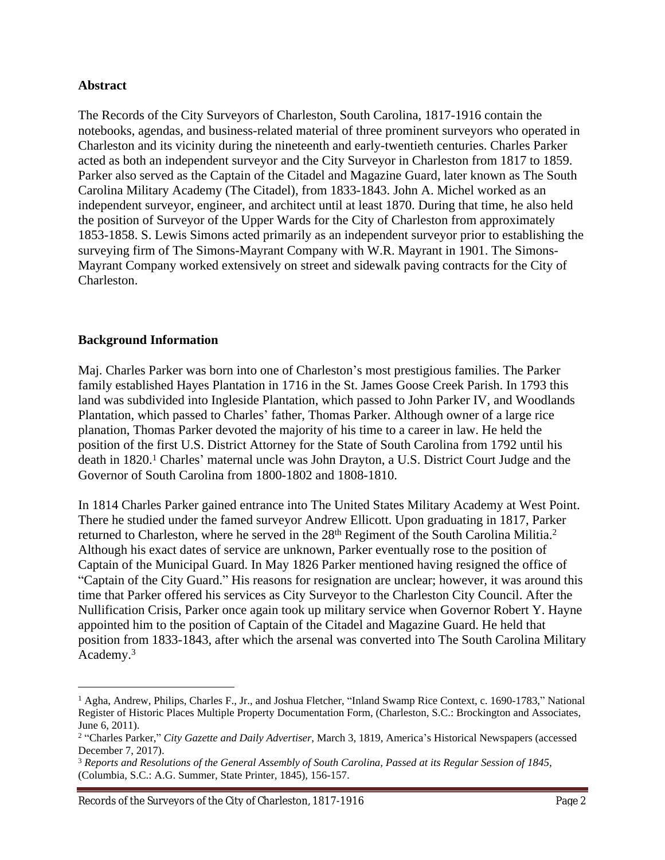## **Abstract**

The Records of the City Surveyors of Charleston, South Carolina, 1817-1916 contain the notebooks, agendas, and business-related material of three prominent surveyors who operated in Charleston and its vicinity during the nineteenth and early-twentieth centuries. Charles Parker acted as both an independent surveyor and the City Surveyor in Charleston from 1817 to 1859. Parker also served as the Captain of the Citadel and Magazine Guard, later known as The South Carolina Military Academy (The Citadel), from 1833-1843. John A. Michel worked as an independent surveyor, engineer, and architect until at least 1870. During that time, he also held the position of Surveyor of the Upper Wards for the City of Charleston from approximately 1853-1858. S. Lewis Simons acted primarily as an independent surveyor prior to establishing the surveying firm of The Simons-Mayrant Company with W.R. Mayrant in 1901. The Simons-Mayrant Company worked extensively on street and sidewalk paving contracts for the City of Charleston.

## **Background Information**

Maj. Charles Parker was born into one of Charleston's most prestigious families. The Parker family established Hayes Plantation in 1716 in the St. James Goose Creek Parish. In 1793 this land was subdivided into Ingleside Plantation, which passed to John Parker IV, and Woodlands Plantation, which passed to Charles' father, Thomas Parker. Although owner of a large rice planation, Thomas Parker devoted the majority of his time to a career in law. He held the position of the first U.S. District Attorney for the State of South Carolina from 1792 until his death in 1820.<sup>1</sup> Charles' maternal uncle was John Drayton, a U.S. District Court Judge and the Governor of South Carolina from 1800-1802 and 1808-1810.

In 1814 Charles Parker gained entrance into The United States Military Academy at West Point. There he studied under the famed surveyor Andrew Ellicott. Upon graduating in 1817, Parker returned to Charleston, where he served in the 28<sup>th</sup> Regiment of the South Carolina Militia.<sup>2</sup> Although his exact dates of service are unknown, Parker eventually rose to the position of Captain of the Municipal Guard. In May 1826 Parker mentioned having resigned the office of "Captain of the City Guard." His reasons for resignation are unclear; however, it was around this time that Parker offered his services as City Surveyor to the Charleston City Council. After the Nullification Crisis, Parker once again took up military service when Governor Robert Y. Hayne appointed him to the position of Captain of the Citadel and Magazine Guard. He held that position from 1833-1843, after which the arsenal was converted into The South Carolina Military Academy.3

<sup>&</sup>lt;sup>1</sup> Agha, Andrew, Philips, Charles F., Jr., and Joshua Fletcher, "Inland Swamp Rice Context, c. 1690-1783," National Register of Historic Places Multiple Property Documentation Form, (Charleston, S.C.: Brockington and Associates, June 6, 2011).

<sup>2</sup> "Charles Parker," *City Gazette and Daily Advertiser*, March 3, 1819, America's Historical Newspapers (accessed December 7, 2017).

<sup>3</sup> *Reports and Resolutions of the General Assembly of South Carolina, Passed at its Regular Session of 1845*, (Columbia, S.C.: A.G. Summer, State Printer, 1845), 156-157.

Records of the Surveyors of the City of Charleston, 1817-1916 Page 2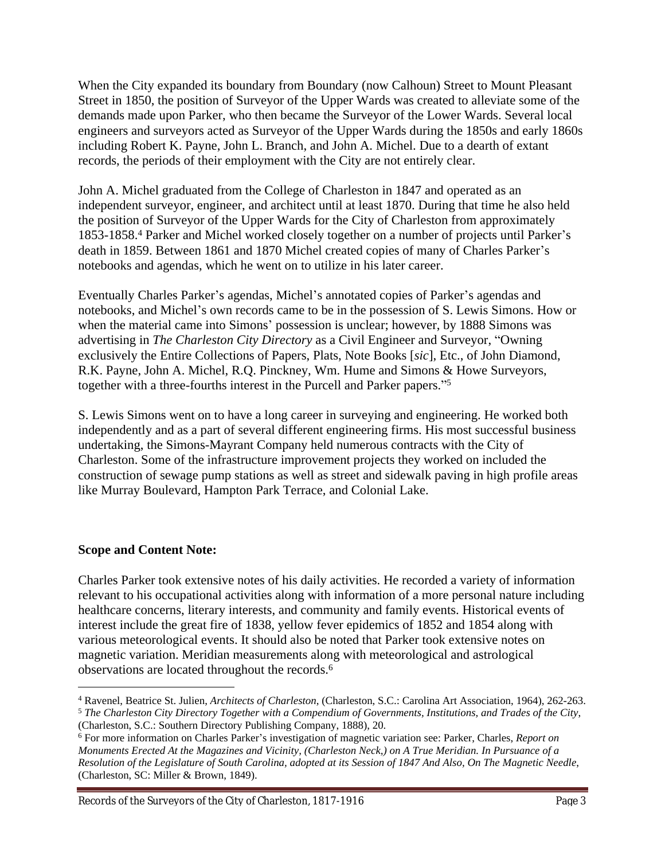When the City expanded its boundary from Boundary (now Calhoun) Street to Mount Pleasant Street in 1850, the position of Surveyor of the Upper Wards was created to alleviate some of the demands made upon Parker, who then became the Surveyor of the Lower Wards. Several local engineers and surveyors acted as Surveyor of the Upper Wards during the 1850s and early 1860s including Robert K. Payne, John L. Branch, and John A. Michel. Due to a dearth of extant records, the periods of their employment with the City are not entirely clear.

John A. Michel graduated from the College of Charleston in 1847 and operated as an independent surveyor, engineer, and architect until at least 1870. During that time he also held the position of Surveyor of the Upper Wards for the City of Charleston from approximately 1853-1858.<sup>4</sup> Parker and Michel worked closely together on a number of projects until Parker's death in 1859. Between 1861 and 1870 Michel created copies of many of Charles Parker's notebooks and agendas, which he went on to utilize in his later career.

Eventually Charles Parker's agendas, Michel's annotated copies of Parker's agendas and notebooks, and Michel's own records came to be in the possession of S. Lewis Simons. How or when the material came into Simons' possession is unclear; however, by 1888 Simons was advertising in *The Charleston City Directory* as a Civil Engineer and Surveyor, "Owning exclusively the Entire Collections of Papers, Plats, Note Books [*sic*], Etc., of John Diamond, R.K. Payne, John A. Michel, R.Q. Pinckney, Wm. Hume and Simons & Howe Surveyors, together with a three-fourths interest in the Purcell and Parker papers." 5

S. Lewis Simons went on to have a long career in surveying and engineering. He worked both independently and as a part of several different engineering firms. His most successful business undertaking, the Simons-Mayrant Company held numerous contracts with the City of Charleston. Some of the infrastructure improvement projects they worked on included the construction of sewage pump stations as well as street and sidewalk paving in high profile areas like Murray Boulevard, Hampton Park Terrace, and Colonial Lake.

# **Scope and Content Note:**

Charles Parker took extensive notes of his daily activities. He recorded a variety of information relevant to his occupational activities along with information of a more personal nature including healthcare concerns, literary interests, and community and family events. Historical events of interest include the great fire of 1838, yellow fever epidemics of 1852 and 1854 along with various meteorological events. It should also be noted that Parker took extensive notes on magnetic variation. Meridian measurements along with meteorological and astrological observations are located throughout the records.6

<sup>4</sup> Ravenel, Beatrice St. Julien, *Architects of Charleston*, (Charleston, S.C.: Carolina Art Association, 1964), 262-263. <sup>5</sup> *The Charleston City Directory Together with a Compendium of Governments, Institutions, and Trades of the City*,

<sup>(</sup>Charleston, S.C.: Southern Directory Publishing Company, 1888), 20.

<sup>6</sup> For more information on Charles Parker's investigation of magnetic variation see: Parker, Charles, *Report on Monuments Erected At the Magazines and Vicinity, (Charleston Neck,) on A True Meridian. In Pursuance of a Resolution of the Legislature of South Carolina, adopted at its Session of 1847 And Also, On The Magnetic Needle*, (Charleston, SC: Miller & Brown, 1849).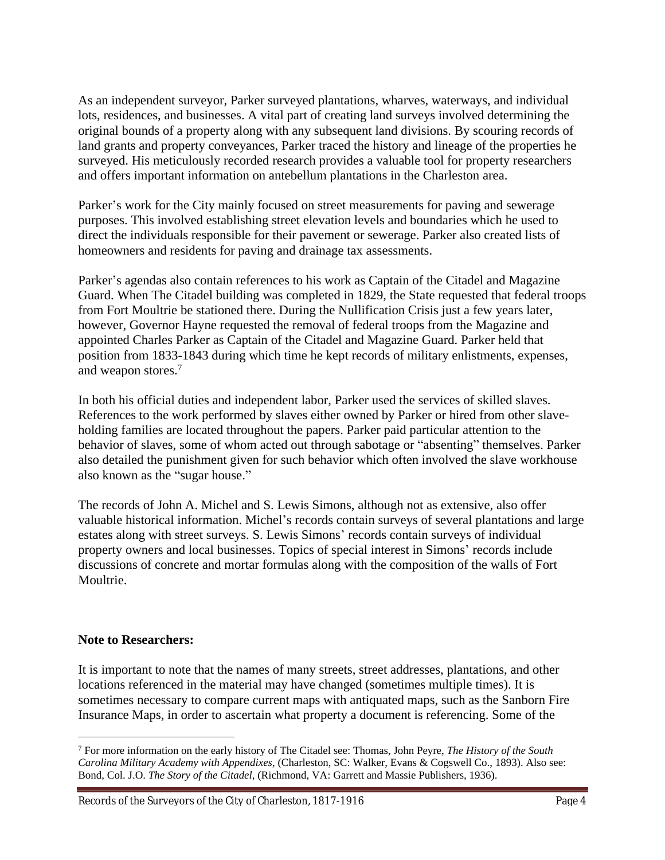As an independent surveyor, Parker surveyed plantations, wharves, waterways, and individual lots, residences, and businesses. A vital part of creating land surveys involved determining the original bounds of a property along with any subsequent land divisions. By scouring records of land grants and property conveyances, Parker traced the history and lineage of the properties he surveyed. His meticulously recorded research provides a valuable tool for property researchers and offers important information on antebellum plantations in the Charleston area.

Parker's work for the City mainly focused on street measurements for paving and sewerage purposes. This involved establishing street elevation levels and boundaries which he used to direct the individuals responsible for their pavement or sewerage. Parker also created lists of homeowners and residents for paving and drainage tax assessments.

Parker's agendas also contain references to his work as Captain of the Citadel and Magazine Guard. When The Citadel building was completed in 1829, the State requested that federal troops from Fort Moultrie be stationed there. During the Nullification Crisis just a few years later, however, Governor Hayne requested the removal of federal troops from the Magazine and appointed Charles Parker as Captain of the Citadel and Magazine Guard. Parker held that position from 1833-1843 during which time he kept records of military enlistments, expenses, and weapon stores.<sup>7</sup>

In both his official duties and independent labor, Parker used the services of skilled slaves. References to the work performed by slaves either owned by Parker or hired from other slaveholding families are located throughout the papers. Parker paid particular attention to the behavior of slaves, some of whom acted out through sabotage or "absenting" themselves. Parker also detailed the punishment given for such behavior which often involved the slave workhouse also known as the "sugar house."

The records of John A. Michel and S. Lewis Simons, although not as extensive, also offer valuable historical information. Michel's records contain surveys of several plantations and large estates along with street surveys. S. Lewis Simons' records contain surveys of individual property owners and local businesses. Topics of special interest in Simons' records include discussions of concrete and mortar formulas along with the composition of the walls of Fort Moultrie.

## **Note to Researchers:**

It is important to note that the names of many streets, street addresses, plantations, and other locations referenced in the material may have changed (sometimes multiple times). It is sometimes necessary to compare current maps with antiquated maps, such as the Sanborn Fire Insurance Maps, in order to ascertain what property a document is referencing. Some of the

<sup>7</sup> For more information on the early history of The Citadel see: Thomas, John Peyre, *The History of the South Carolina Military Academy with Appendixes*, (Charleston, SC: Walker, Evans & Cogswell Co., 1893). Also see: Bond, Col. J.O. *The Story of the Citadel,* (Richmond, VA: Garrett and Massie Publishers, 1936).

Records of the Surveyors of the City of Charleston, 1817-1916 Page 4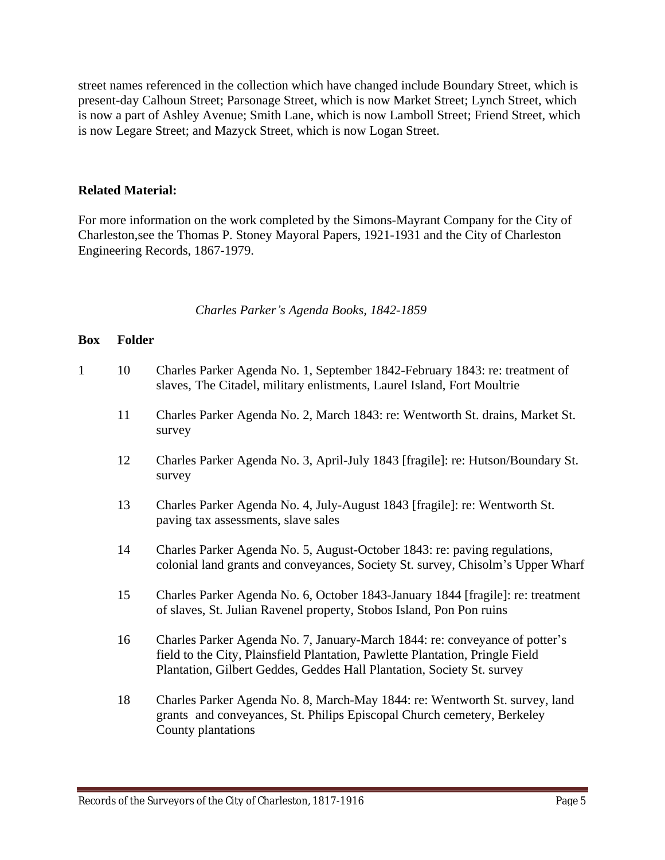street names referenced in the collection which have changed include Boundary Street, which is present-day Calhoun Street; Parsonage Street, which is now Market Street; Lynch Street, which is now a part of Ashley Avenue; Smith Lane, which is now Lamboll Street; Friend Street, which is now Legare Street; and Mazyck Street, which is now Logan Street.

## **Related Material:**

For more information on the work completed by the Simons-Mayrant Company for the City of Charleston,see the Thomas P. Stoney Mayoral Papers, 1921-1931 and the City of Charleston Engineering Records, 1867-1979.

## *Charles Parker's Agenda Books, 1842-1859*

| $\mathbf{1}$ | 10 | Charles Parker Agenda No. 1, September 1842-February 1843: re: treatment of<br>slaves, The Citadel, military enlistments, Laurel Island, Fort Moultrie                                                                                 |
|--------------|----|----------------------------------------------------------------------------------------------------------------------------------------------------------------------------------------------------------------------------------------|
|              | 11 | Charles Parker Agenda No. 2, March 1843: re: Wentworth St. drains, Market St.<br>survey                                                                                                                                                |
|              | 12 | Charles Parker Agenda No. 3, April-July 1843 [fragile]: re: Hutson/Boundary St.<br>survey                                                                                                                                              |
|              | 13 | Charles Parker Agenda No. 4, July-August 1843 [fragile]: re: Wentworth St.<br>paving tax assessments, slave sales                                                                                                                      |
|              | 14 | Charles Parker Agenda No. 5, August-October 1843: re: paving regulations,<br>colonial land grants and conveyances, Society St. survey, Chisolm's Upper Wharf                                                                           |
|              | 15 | Charles Parker Agenda No. 6, October 1843-January 1844 [fragile]: re: treatment<br>of slaves, St. Julian Ravenel property, Stobos Island, Pon Pon ruins                                                                                |
|              | 16 | Charles Parker Agenda No. 7, January-March 1844: re: conveyance of potter's<br>field to the City, Plainsfield Plantation, Pawlette Plantation, Pringle Field<br>Plantation, Gilbert Geddes, Geddes Hall Plantation, Society St. survey |
|              | 18 | Charles Parker Agenda No. 8, March-May 1844: re: Wentworth St. survey, land<br>grants and conveyances, St. Philips Episcopal Church cemetery, Berkeley<br>County plantations                                                           |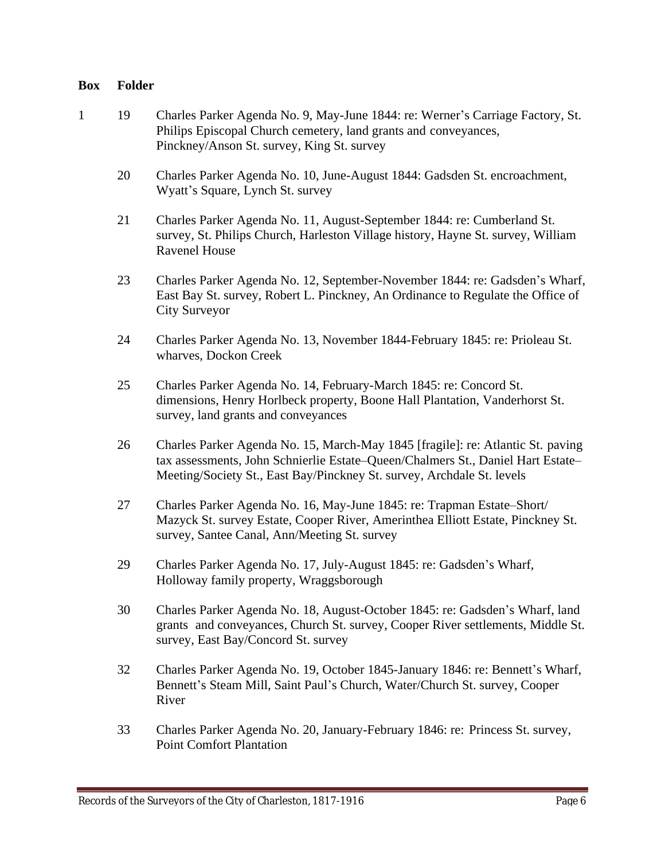- 1 19 Charles Parker Agenda No. 9, May-June 1844: re: Werner's Carriage Factory, St. Philips Episcopal Church cemetery, land grants and conveyances, Pinckney/Anson St. survey, King St. survey
	- 20 Charles Parker Agenda No. 10, June-August 1844: Gadsden St. encroachment, Wyatt's Square, Lynch St. survey
	- 21 Charles Parker Agenda No. 11, August-September 1844: re: Cumberland St. survey, St. Philips Church, Harleston Village history, Hayne St. survey, William Ravenel House
	- 23 Charles Parker Agenda No. 12, September-November 1844: re: Gadsden's Wharf, East Bay St. survey, Robert L. Pinckney, An Ordinance to Regulate the Office of City Surveyor
	- 24 Charles Parker Agenda No. 13, November 1844-February 1845: re: Prioleau St. wharves, Dockon Creek
	- 25 Charles Parker Agenda No. 14, February-March 1845: re: Concord St. dimensions, Henry Horlbeck property, Boone Hall Plantation, Vanderhorst St. survey, land grants and conveyances
	- 26 Charles Parker Agenda No. 15, March-May 1845 [fragile]: re: Atlantic St. paving tax assessments, John Schnierlie Estate–Queen/Chalmers St., Daniel Hart Estate– Meeting/Society St., East Bay/Pinckney St. survey, Archdale St. levels
	- 27 Charles Parker Agenda No. 16, May-June 1845: re: Trapman Estate–Short/ Mazyck St. survey Estate, Cooper River, Amerinthea Elliott Estate, Pinckney St. survey, Santee Canal, Ann/Meeting St. survey
	- 29 Charles Parker Agenda No. 17, July-August 1845: re: Gadsden's Wharf, Holloway family property, Wraggsborough
	- 30 Charles Parker Agenda No. 18, August-October 1845: re: Gadsden's Wharf, land grants and conveyances, Church St. survey, Cooper River settlements, Middle St. survey, East Bay/Concord St. survey
	- 32 Charles Parker Agenda No. 19, October 1845-January 1846: re: Bennett's Wharf, Bennett's Steam Mill, Saint Paul's Church, Water/Church St. survey, Cooper River
	- 33 Charles Parker Agenda No. 20, January-February 1846: re: Princess St. survey, Point Comfort Plantation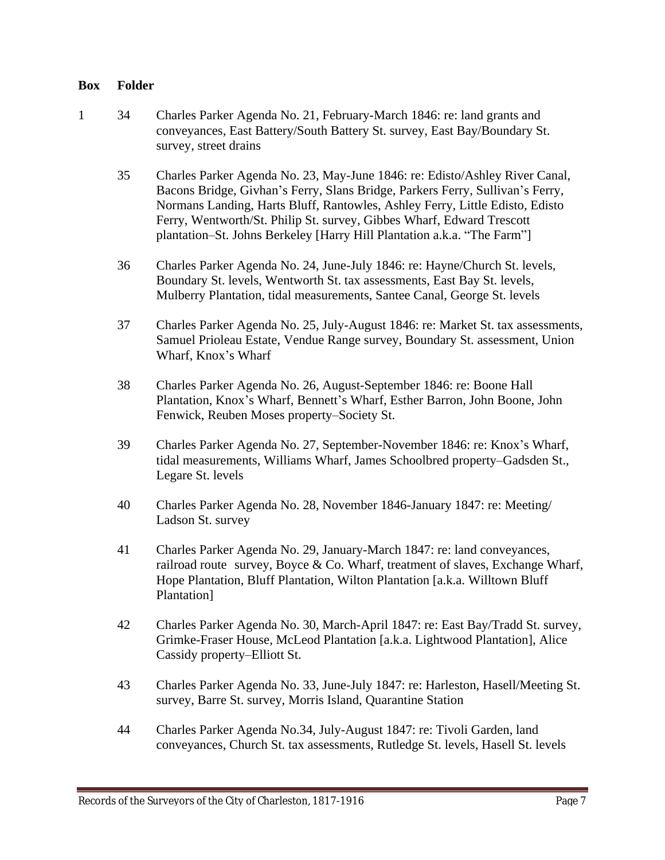- 1 34 Charles Parker Agenda No. 21, February-March 1846: re: land grants and conveyances, East Battery/South Battery St. survey, East Bay/Boundary St. survey, street drains
	- 35 Charles Parker Agenda No. 23, May-June 1846: re: Edisto/Ashley River Canal, Bacons Bridge, Givhan's Ferry, Slans Bridge, Parkers Ferry, Sullivan's Ferry, Normans Landing, Harts Bluff, Rantowles, Ashley Ferry, Little Edisto, Edisto Ferry, Wentworth/St. Philip St. survey, Gibbes Wharf, Edward Trescott plantation–St. Johns Berkeley [Harry Hill Plantation a.k.a. "The Farm"]
	- 36 Charles Parker Agenda No. 24, June-July 1846: re: Hayne/Church St. levels, Boundary St. levels, Wentworth St. tax assessments, East Bay St. levels, Mulberry Plantation, tidal measurements, Santee Canal, George St. levels
	- 37 Charles Parker Agenda No. 25, July-August 1846: re: Market St. tax assessments, Samuel Prioleau Estate, Vendue Range survey, Boundary St. assessment, Union Wharf, Knox's Wharf
	- 38 Charles Parker Agenda No. 26, August-September 1846: re: Boone Hall Plantation, Knox's Wharf, Bennett's Wharf, Esther Barron, John Boone, John Fenwick, Reuben Moses property–Society St.
	- 39 Charles Parker Agenda No. 27, September-November 1846: re: Knox's Wharf, tidal measurements, Williams Wharf, James Schoolbred property–Gadsden St., Legare St. levels
	- 40 Charles Parker Agenda No. 28, November 1846-January 1847: re: Meeting/ Ladson St. survey
	- 41 Charles Parker Agenda No. 29, January-March 1847: re: land conveyances, railroad route survey, Boyce & Co. Wharf, treatment of slaves, Exchange Wharf, Hope Plantation, Bluff Plantation, Wilton Plantation [a.k.a. Willtown Bluff Plantation]
	- 42 Charles Parker Agenda No. 30, March-April 1847: re: East Bay/Tradd St. survey, Grimke-Fraser House, McLeod Plantation [a.k.a. Lightwood Plantation], Alice Cassidy property–Elliott St.
	- 43 Charles Parker Agenda No. 33, June-July 1847: re: Harleston, Hasell/Meeting St. survey, Barre St. survey, Morris Island, Quarantine Station
	- 44 Charles Parker Agenda No.34, July-August 1847: re: Tivoli Garden, land conveyances, Church St. tax assessments, Rutledge St. levels, Hasell St. levels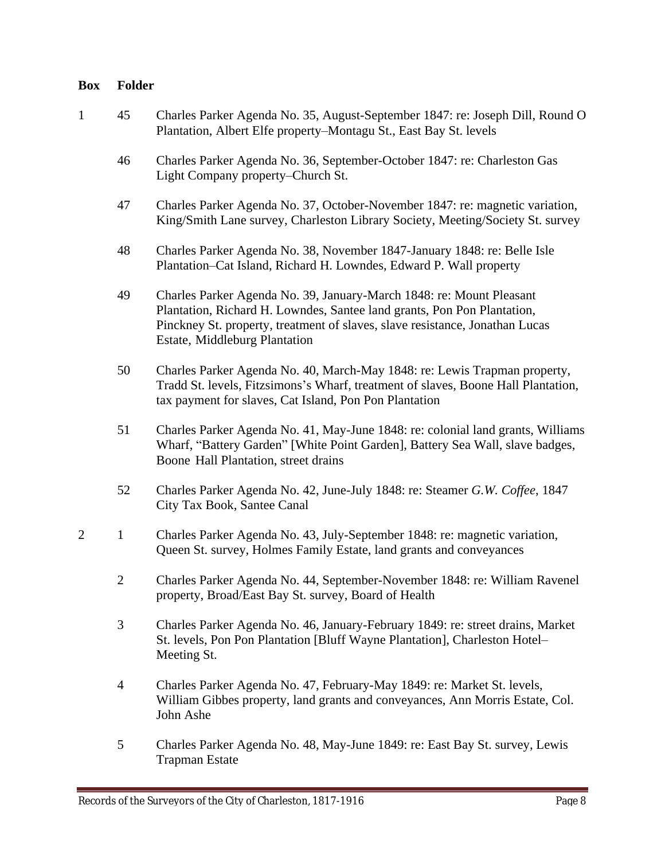- 1 45 Charles Parker Agenda No. 35, August-September 1847: re: Joseph Dill, Round O Plantation, Albert Elfe property–Montagu St., East Bay St. levels
	- 46 Charles Parker Agenda No. 36, September-October 1847: re: Charleston Gas Light Company property–Church St.
	- 47 Charles Parker Agenda No. 37, October-November 1847: re: magnetic variation, King/Smith Lane survey, Charleston Library Society, Meeting/Society St. survey
	- 48 Charles Parker Agenda No. 38, November 1847-January 1848: re: Belle Isle Plantation–Cat Island, Richard H. Lowndes, Edward P. Wall property
	- 49 Charles Parker Agenda No. 39, January-March 1848: re: Mount Pleasant Plantation, Richard H. Lowndes, Santee land grants, Pon Pon Plantation, Pinckney St. property, treatment of slaves, slave resistance, Jonathan Lucas Estate, Middleburg Plantation
	- 50 Charles Parker Agenda No. 40, March-May 1848: re: Lewis Trapman property, Tradd St. levels, Fitzsimons's Wharf, treatment of slaves, Boone Hall Plantation, tax payment for slaves, Cat Island, Pon Pon Plantation
	- 51 Charles Parker Agenda No. 41, May-June 1848: re: colonial land grants, Williams Wharf, "Battery Garden" [White Point Garden], Battery Sea Wall, slave badges, Boone Hall Plantation, street drains
	- 52 Charles Parker Agenda No. 42, June-July 1848: re: Steamer *G.W. Coffee*, 1847 City Tax Book, Santee Canal
- 2 1 Charles Parker Agenda No. 43, July-September 1848: re: magnetic variation, Queen St. survey, Holmes Family Estate, land grants and conveyances
	- 2 Charles Parker Agenda No. 44, September-November 1848: re: William Ravenel property, Broad/East Bay St. survey, Board of Health
	- 3 Charles Parker Agenda No. 46, January-February 1849: re: street drains, Market St. levels, Pon Pon Plantation [Bluff Wayne Plantation], Charleston Hotel– Meeting St.
	- 4 Charles Parker Agenda No. 47, February-May 1849: re: Market St. levels, William Gibbes property, land grants and conveyances, Ann Morris Estate, Col. John Ashe
	- 5 Charles Parker Agenda No. 48, May-June 1849: re: East Bay St. survey, Lewis Trapman Estate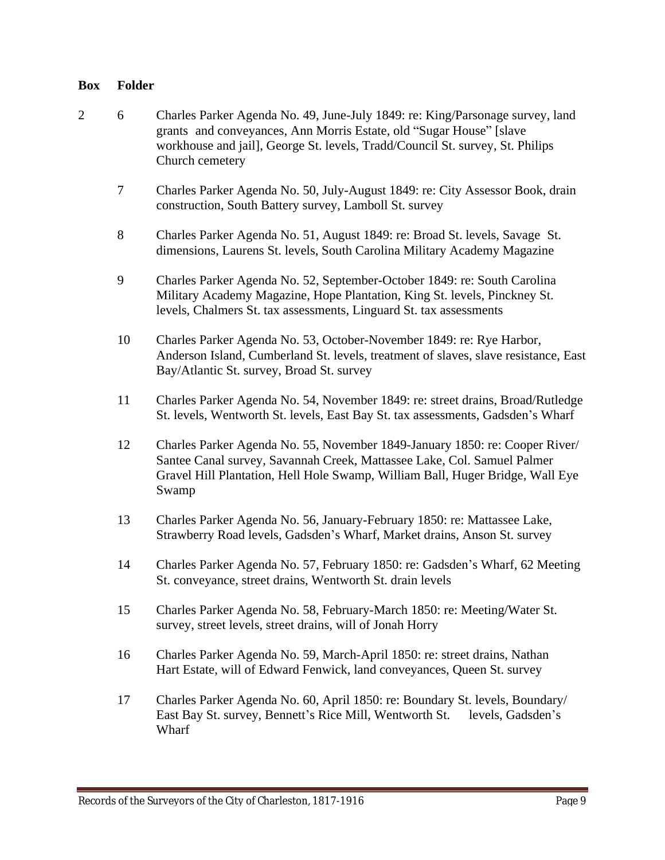- 2 6 Charles Parker Agenda No. 49, June-July 1849: re: King/Parsonage survey, land grants and conveyances, Ann Morris Estate, old "Sugar House" [slave workhouse and jail], George St. levels, Tradd/Council St. survey, St. Philips Church cemetery
	- 7 Charles Parker Agenda No. 50, July-August 1849: re: City Assessor Book, drain construction, South Battery survey, Lamboll St. survey
	- 8 Charles Parker Agenda No. 51, August 1849: re: Broad St. levels, Savage St. dimensions, Laurens St. levels, South Carolina Military Academy Magazine
	- 9 Charles Parker Agenda No. 52, September-October 1849: re: South Carolina Military Academy Magazine, Hope Plantation, King St. levels, Pinckney St. levels, Chalmers St. tax assessments, Linguard St. tax assessments
	- 10 Charles Parker Agenda No. 53, October-November 1849: re: Rye Harbor, Anderson Island, Cumberland St. levels, treatment of slaves, slave resistance, East Bay/Atlantic St. survey, Broad St. survey
	- 11 Charles Parker Agenda No. 54, November 1849: re: street drains, Broad/Rutledge St. levels, Wentworth St. levels, East Bay St. tax assessments, Gadsden's Wharf
	- 12 Charles Parker Agenda No. 55, November 1849-January 1850: re: Cooper River/ Santee Canal survey, Savannah Creek, Mattassee Lake, Col. Samuel Palmer Gravel Hill Plantation, Hell Hole Swamp, William Ball, Huger Bridge, Wall Eye Swamp
	- 13 Charles Parker Agenda No. 56, January-February 1850: re: Mattassee Lake, Strawberry Road levels, Gadsden's Wharf, Market drains, Anson St. survey
	- 14 Charles Parker Agenda No. 57, February 1850: re: Gadsden's Wharf, 62 Meeting St. conveyance, street drains, Wentworth St. drain levels
	- 15 Charles Parker Agenda No. 58, February-March 1850: re: Meeting/Water St. survey, street levels, street drains, will of Jonah Horry
	- 16 Charles Parker Agenda No. 59, March-April 1850: re: street drains, Nathan Hart Estate, will of Edward Fenwick, land conveyances, Queen St. survey
	- 17 Charles Parker Agenda No. 60, April 1850: re: Boundary St. levels, Boundary/ East Bay St. survey, Bennett's Rice Mill, Wentworth St. levels, Gadsden's Wharf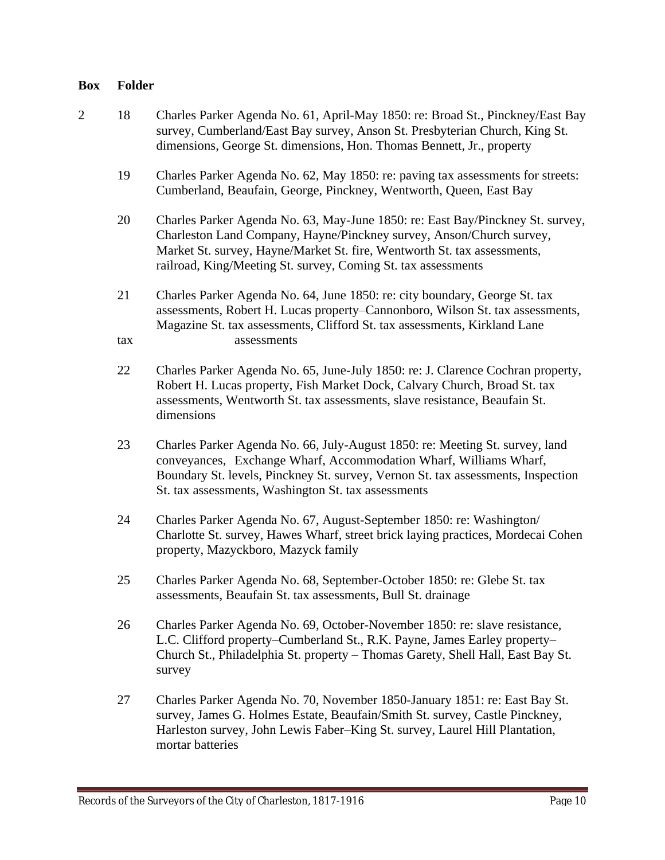- 2 18 Charles Parker Agenda No. 61, April-May 1850: re: Broad St., Pinckney/East Bay survey, Cumberland/East Bay survey, Anson St. Presbyterian Church, King St. dimensions, George St. dimensions, Hon. Thomas Bennett, Jr., property
	- 19 Charles Parker Agenda No. 62, May 1850: re: paving tax assessments for streets: Cumberland, Beaufain, George, Pinckney, Wentworth, Queen, East Bay
	- 20 Charles Parker Agenda No. 63, May-June 1850: re: East Bay/Pinckney St. survey, Charleston Land Company, Hayne/Pinckney survey, Anson/Church survey, Market St. survey, Hayne/Market St. fire, Wentworth St. tax assessments, railroad, King/Meeting St. survey, Coming St. tax assessments
	- 21 Charles Parker Agenda No. 64, June 1850: re: city boundary, George St. tax assessments, Robert H. Lucas property–Cannonboro, Wilson St. tax assessments, Magazine St. tax assessments, Clifford St. tax assessments, Kirkland Lane tax assessments
	- 22 Charles Parker Agenda No. 65, June-July 1850: re: J. Clarence Cochran property, Robert H. Lucas property, Fish Market Dock, Calvary Church, Broad St. tax assessments, Wentworth St. tax assessments, slave resistance, Beaufain St. dimensions
	- 23 Charles Parker Agenda No. 66, July-August 1850: re: Meeting St. survey, land conveyances, Exchange Wharf, Accommodation Wharf, Williams Wharf, Boundary St. levels, Pinckney St. survey, Vernon St. tax assessments, Inspection St. tax assessments, Washington St. tax assessments
	- 24 Charles Parker Agenda No. 67, August-September 1850: re: Washington/ Charlotte St. survey, Hawes Wharf, street brick laying practices, Mordecai Cohen property, Mazyckboro, Mazyck family
	- 25 Charles Parker Agenda No. 68, September-October 1850: re: Glebe St. tax assessments, Beaufain St. tax assessments, Bull St. drainage
	- 26 Charles Parker Agenda No. 69, October-November 1850: re: slave resistance, L.C. Clifford property–Cumberland St., R.K. Payne, James Earley property– Church St., Philadelphia St. property – Thomas Garety, Shell Hall, East Bay St. survey
	- 27 Charles Parker Agenda No. 70, November 1850-January 1851: re: East Bay St. survey, James G. Holmes Estate, Beaufain/Smith St. survey, Castle Pinckney, Harleston survey, John Lewis Faber–King St. survey, Laurel Hill Plantation, mortar batteries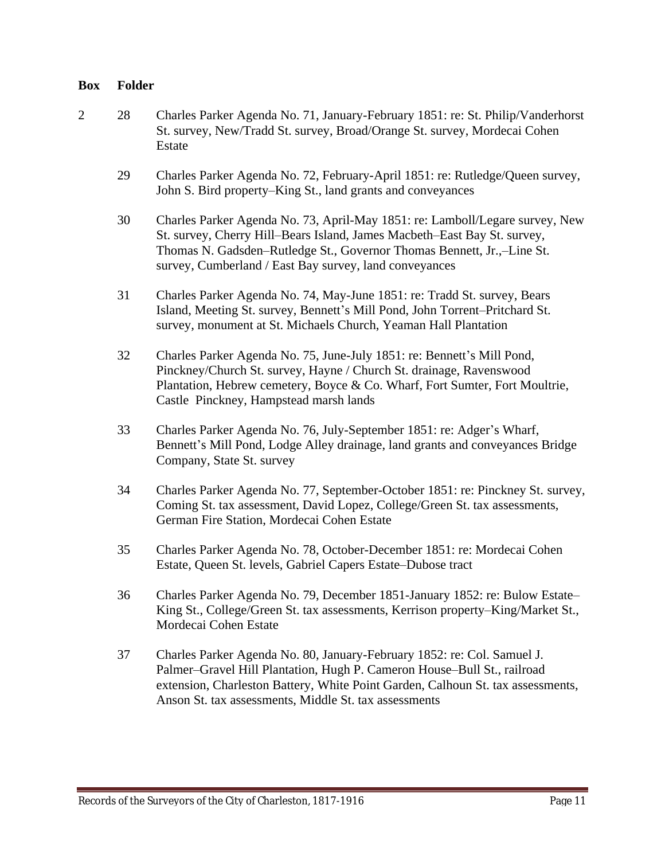- 2 28 Charles Parker Agenda No. 71, January-February 1851: re: St. Philip/Vanderhorst St. survey, New/Tradd St. survey, Broad/Orange St. survey, Mordecai Cohen Estate
	- 29 Charles Parker Agenda No. 72, February-April 1851: re: Rutledge/Queen survey, John S. Bird property–King St., land grants and conveyances
	- 30 Charles Parker Agenda No. 73, April-May 1851: re: Lamboll/Legare survey, New St. survey, Cherry Hill–Bears Island, James Macbeth–East Bay St. survey, Thomas N. Gadsden–Rutledge St., Governor Thomas Bennett, Jr.,–Line St. survey, Cumberland / East Bay survey, land conveyances
	- 31 Charles Parker Agenda No. 74, May-June 1851: re: Tradd St. survey, Bears Island, Meeting St. survey, Bennett's Mill Pond, John Torrent–Pritchard St. survey, monument at St. Michaels Church, Yeaman Hall Plantation
	- 32 Charles Parker Agenda No. 75, June-July 1851: re: Bennett's Mill Pond, Pinckney/Church St. survey, Hayne / Church St. drainage, Ravenswood Plantation, Hebrew cemetery, Boyce & Co. Wharf, Fort Sumter, Fort Moultrie, Castle Pinckney, Hampstead marsh lands
	- 33 Charles Parker Agenda No. 76, July-September 1851: re: Adger's Wharf, Bennett's Mill Pond, Lodge Alley drainage, land grants and conveyances Bridge Company, State St. survey
	- 34 Charles Parker Agenda No. 77, September-October 1851: re: Pinckney St. survey, Coming St. tax assessment, David Lopez, College/Green St. tax assessments, German Fire Station, Mordecai Cohen Estate
	- 35 Charles Parker Agenda No. 78, October-December 1851: re: Mordecai Cohen Estate, Queen St. levels, Gabriel Capers Estate–Dubose tract
	- 36 Charles Parker Agenda No. 79, December 1851-January 1852: re: Bulow Estate– King St., College/Green St. tax assessments, Kerrison property–King/Market St., Mordecai Cohen Estate
	- 37 Charles Parker Agenda No. 80, January-February 1852: re: Col. Samuel J. Palmer–Gravel Hill Plantation, Hugh P. Cameron House–Bull St., railroad extension, Charleston Battery, White Point Garden, Calhoun St. tax assessments, Anson St. tax assessments, Middle St. tax assessments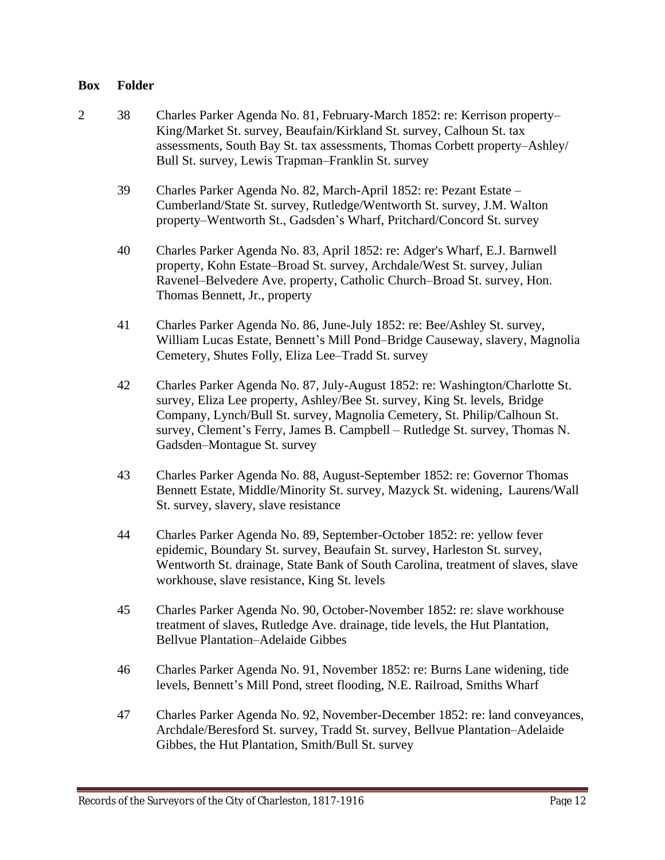- 2 38 Charles Parker Agenda No. 81, February-March 1852: re: Kerrison property– King/Market St. survey, Beaufain/Kirkland St. survey, Calhoun St. tax assessments, South Bay St. tax assessments, Thomas Corbett property–Ashley/ Bull St. survey, Lewis Trapman–Franklin St. survey
	- 39 Charles Parker Agenda No. 82, March-April 1852: re: Pezant Estate Cumberland/State St. survey, Rutledge/Wentworth St. survey, J.M. Walton property–Wentworth St., Gadsden's Wharf, Pritchard/Concord St. survey
	- 40 Charles Parker Agenda No. 83, April 1852: re: Adger's Wharf, E.J. Barnwell property, Kohn Estate–Broad St. survey, Archdale/West St. survey, Julian Ravenel–Belvedere Ave. property, Catholic Church–Broad St. survey, Hon. Thomas Bennett, Jr., property
	- 41 Charles Parker Agenda No. 86, June-July 1852: re: Bee/Ashley St. survey, William Lucas Estate, Bennett's Mill Pond–Bridge Causeway, slavery, Magnolia Cemetery, Shutes Folly, Eliza Lee–Tradd St. survey
	- 42 Charles Parker Agenda No. 87, July-August 1852: re: Washington/Charlotte St. survey, Eliza Lee property, Ashley/Bee St. survey, King St. levels, Bridge Company, Lynch/Bull St. survey, Magnolia Cemetery, St. Philip/Calhoun St. survey, Clement's Ferry, James B. Campbell – Rutledge St. survey, Thomas N. Gadsden–Montague St. survey
	- 43 Charles Parker Agenda No. 88, August-September 1852: re: Governor Thomas Bennett Estate, Middle/Minority St. survey, Mazyck St. widening, Laurens/Wall St. survey, slavery, slave resistance
	- 44 Charles Parker Agenda No. 89, September-October 1852: re: yellow fever epidemic, Boundary St. survey, Beaufain St. survey, Harleston St. survey, Wentworth St. drainage, State Bank of South Carolina, treatment of slaves, slave workhouse, slave resistance, King St. levels
	- 45 Charles Parker Agenda No. 90, October-November 1852: re: slave workhouse treatment of slaves, Rutledge Ave. drainage, tide levels, the Hut Plantation, Bellvue Plantation–Adelaide Gibbes
	- 46 Charles Parker Agenda No. 91, November 1852: re: Burns Lane widening, tide levels, Bennett's Mill Pond, street flooding, N.E. Railroad, Smiths Wharf
	- 47 Charles Parker Agenda No. 92, November-December 1852: re: land conveyances, Archdale/Beresford St. survey, Tradd St. survey, Bellvue Plantation–Adelaide Gibbes, the Hut Plantation, Smith/Bull St. survey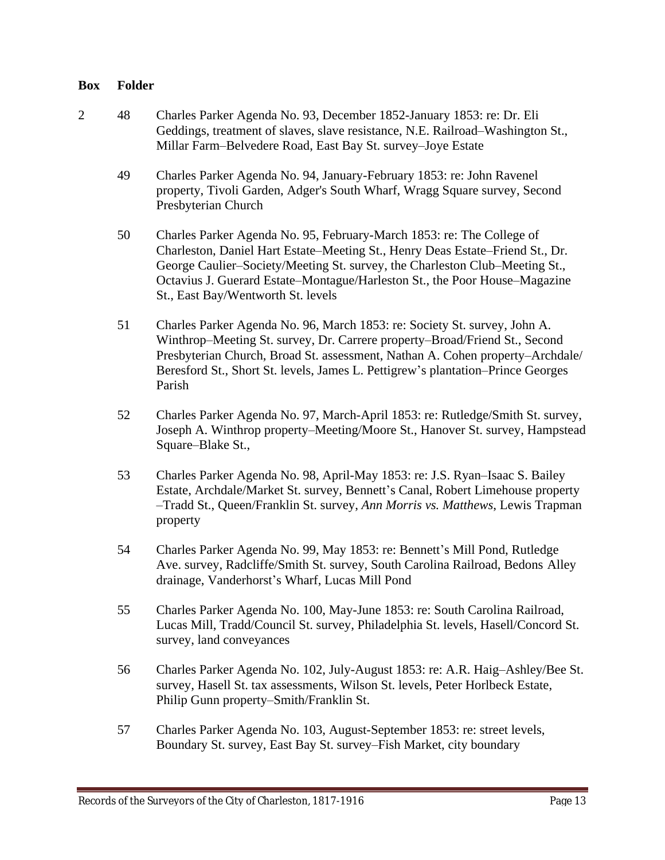- 2 48 Charles Parker Agenda No. 93, December 1852-January 1853: re: Dr. Eli Geddings, treatment of slaves, slave resistance, N.E. Railroad–Washington St., Millar Farm–Belvedere Road, East Bay St. survey–Joye Estate
	- 49 Charles Parker Agenda No. 94, January-February 1853: re: John Ravenel property, Tivoli Garden, Adger's South Wharf, Wragg Square survey, Second Presbyterian Church
	- 50 Charles Parker Agenda No. 95, February-March 1853: re: The College of Charleston, Daniel Hart Estate–Meeting St., Henry Deas Estate–Friend St., Dr. George Caulier–Society/Meeting St. survey, the Charleston Club–Meeting St., Octavius J. Guerard Estate–Montague/Harleston St., the Poor House–Magazine St., East Bay/Wentworth St. levels
	- 51 Charles Parker Agenda No. 96, March 1853: re: Society St. survey, John A. Winthrop–Meeting St. survey, Dr. Carrere property–Broad/Friend St., Second Presbyterian Church, Broad St. assessment, Nathan A. Cohen property–Archdale/ Beresford St., Short St. levels, James L. Pettigrew's plantation–Prince Georges Parish
	- 52 Charles Parker Agenda No. 97, March-April 1853: re: Rutledge/Smith St. survey, Joseph A. Winthrop property–Meeting/Moore St., Hanover St. survey, Hampstead Square–Blake St.,
	- 53 Charles Parker Agenda No. 98, April-May 1853: re: J.S. Ryan–Isaac S. Bailey Estate, Archdale/Market St. survey, Bennett's Canal, Robert Limehouse property –Tradd St., Queen/Franklin St. survey, *Ann Morris vs. Matthews*, Lewis Trapman property
	- 54 Charles Parker Agenda No. 99, May 1853: re: Bennett's Mill Pond, Rutledge Ave. survey, Radcliffe/Smith St. survey, South Carolina Railroad, Bedons Alley drainage, Vanderhorst's Wharf, Lucas Mill Pond
	- 55 Charles Parker Agenda No. 100, May-June 1853: re: South Carolina Railroad, Lucas Mill, Tradd/Council St. survey, Philadelphia St. levels, Hasell/Concord St. survey, land conveyances
	- 56 Charles Parker Agenda No. 102, July-August 1853: re: A.R. Haig–Ashley/Bee St. survey, Hasell St. tax assessments, Wilson St. levels, Peter Horlbeck Estate, Philip Gunn property–Smith/Franklin St.
	- 57 Charles Parker Agenda No. 103, August-September 1853: re: street levels, Boundary St. survey, East Bay St. survey–Fish Market, city boundary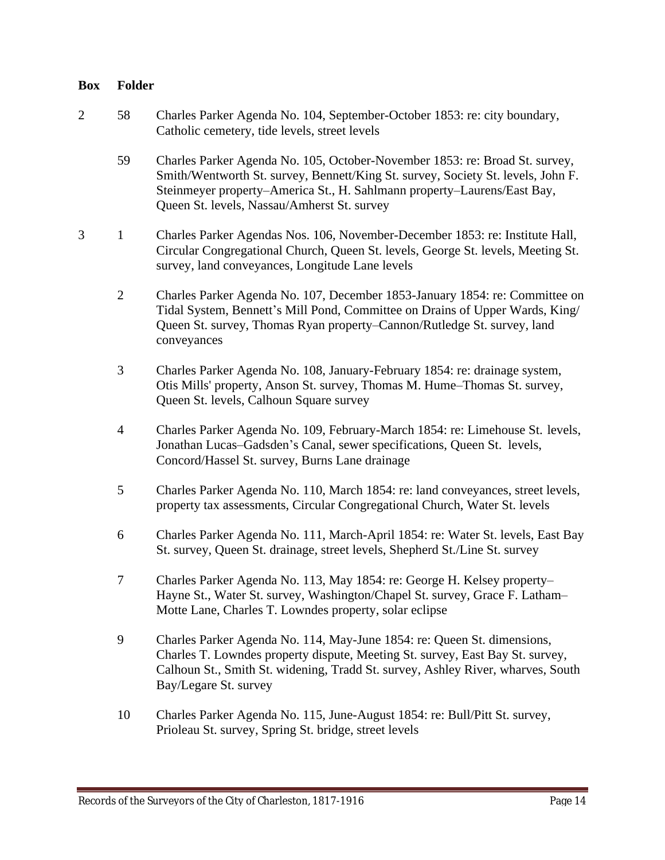- 2 58 Charles Parker Agenda No. 104, September-October 1853: re: city boundary, Catholic cemetery, tide levels, street levels
	- 59 Charles Parker Agenda No. 105, October-November 1853: re: Broad St. survey, Smith/Wentworth St. survey, Bennett/King St. survey, Society St. levels, John F. Steinmeyer property–America St., H. Sahlmann property–Laurens/East Bay, Queen St. levels, Nassau/Amherst St. survey
- 3 1 Charles Parker Agendas Nos. 106, November-December 1853: re: Institute Hall, Circular Congregational Church, Queen St. levels, George St. levels, Meeting St. survey, land conveyances, Longitude Lane levels
	- 2 Charles Parker Agenda No. 107, December 1853-January 1854: re: Committee on Tidal System, Bennett's Mill Pond, Committee on Drains of Upper Wards, King/ Queen St. survey, Thomas Ryan property–Cannon/Rutledge St. survey, land conveyances
	- 3 Charles Parker Agenda No. 108, January-February 1854: re: drainage system, Otis Mills' property, Anson St. survey, Thomas M. Hume–Thomas St. survey, Queen St. levels, Calhoun Square survey
	- 4 Charles Parker Agenda No. 109, February-March 1854: re: Limehouse St. levels, Jonathan Lucas–Gadsden's Canal, sewer specifications, Queen St. levels, Concord/Hassel St. survey, Burns Lane drainage
	- 5 Charles Parker Agenda No. 110, March 1854: re: land conveyances, street levels, property tax assessments, Circular Congregational Church, Water St. levels
	- 6 Charles Parker Agenda No. 111, March-April 1854: re: Water St. levels, East Bay St. survey, Queen St. drainage, street levels, Shepherd St./Line St. survey
	- 7 Charles Parker Agenda No. 113, May 1854: re: George H. Kelsey property– Hayne St., Water St. survey, Washington/Chapel St. survey, Grace F. Latham– Motte Lane, Charles T. Lowndes property, solar eclipse
	- 9 Charles Parker Agenda No. 114, May-June 1854: re: Queen St. dimensions, Charles T. Lowndes property dispute, Meeting St. survey, East Bay St. survey, Calhoun St., Smith St. widening, Tradd St. survey, Ashley River, wharves, South Bay/Legare St. survey
	- 10 Charles Parker Agenda No. 115, June-August 1854: re: Bull/Pitt St. survey, Prioleau St. survey, Spring St. bridge, street levels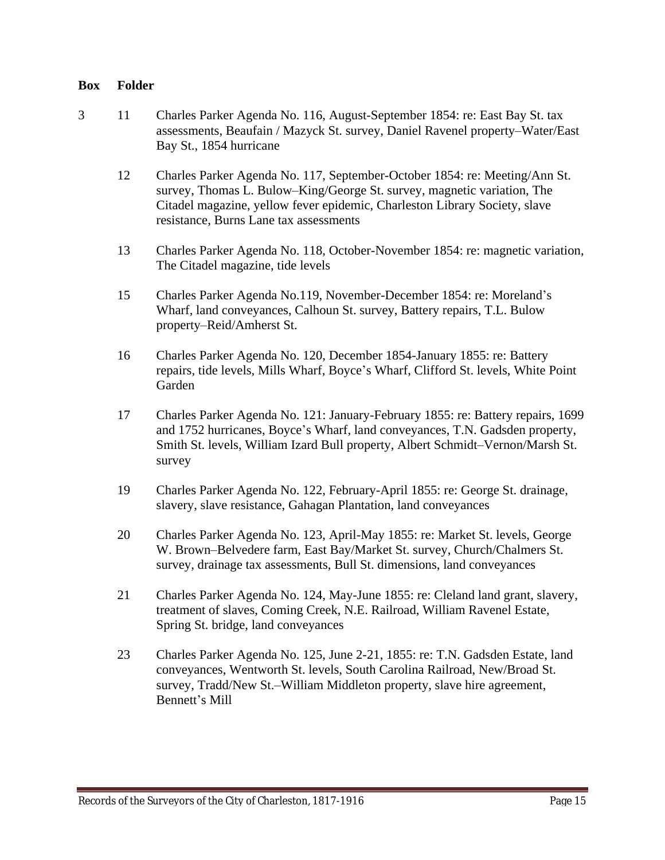- 3 11 Charles Parker Agenda No. 116, August-September 1854: re: East Bay St. tax assessments, Beaufain / Mazyck St. survey, Daniel Ravenel property–Water/East Bay St., 1854 hurricane
	- 12 Charles Parker Agenda No. 117, September-October 1854: re: Meeting/Ann St. survey, Thomas L. Bulow–King/George St. survey, magnetic variation, The Citadel magazine, yellow fever epidemic, Charleston Library Society, slave resistance, Burns Lane tax assessments
	- 13 Charles Parker Agenda No. 118, October-November 1854: re: magnetic variation, The Citadel magazine, tide levels
	- 15 Charles Parker Agenda No.119, November-December 1854: re: Moreland's Wharf, land conveyances, Calhoun St. survey, Battery repairs, T.L. Bulow property–Reid/Amherst St.
	- 16 Charles Parker Agenda No. 120, December 1854-January 1855: re: Battery repairs, tide levels, Mills Wharf, Boyce's Wharf, Clifford St. levels, White Point Garden
	- 17 Charles Parker Agenda No. 121: January-February 1855: re: Battery repairs, 1699 and 1752 hurricanes, Boyce's Wharf, land conveyances, T.N. Gadsden property, Smith St. levels, William Izard Bull property, Albert Schmidt–Vernon/Marsh St. survey
	- 19 Charles Parker Agenda No. 122, February-April 1855: re: George St. drainage, slavery, slave resistance, Gahagan Plantation, land conveyances
	- 20 Charles Parker Agenda No. 123, April-May 1855: re: Market St. levels, George W. Brown–Belvedere farm, East Bay/Market St. survey, Church/Chalmers St. survey, drainage tax assessments, Bull St. dimensions, land conveyances
	- 21 Charles Parker Agenda No. 124, May-June 1855: re: Cleland land grant, slavery, treatment of slaves, Coming Creek, N.E. Railroad, William Ravenel Estate, Spring St. bridge, land conveyances
	- 23 Charles Parker Agenda No. 125, June 2-21, 1855: re: T.N. Gadsden Estate, land conveyances, Wentworth St. levels, South Carolina Railroad, New/Broad St. survey, Tradd/New St.–William Middleton property, slave hire agreement, Bennett's Mill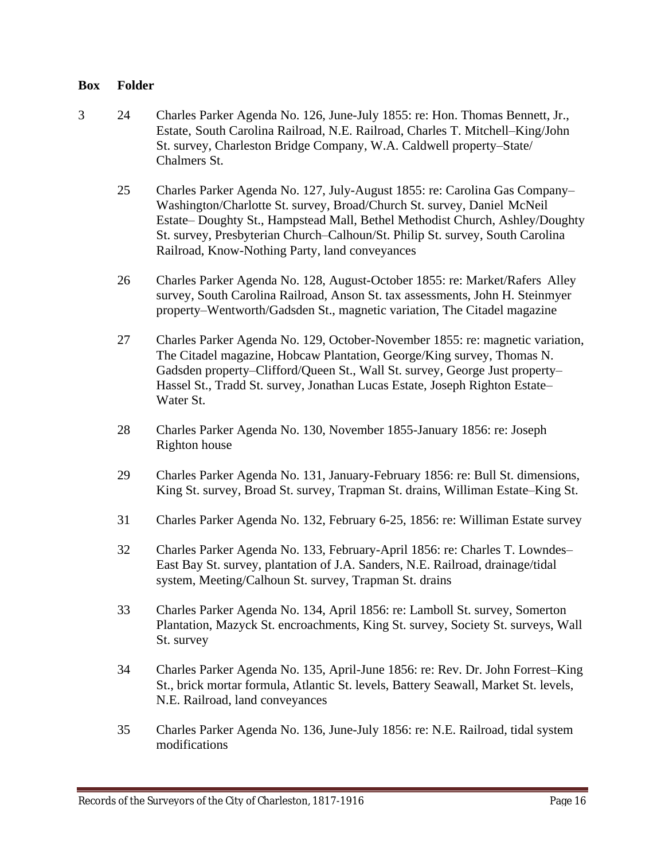- 3 24 Charles Parker Agenda No. 126, June-July 1855: re: Hon. Thomas Bennett, Jr., Estate, South Carolina Railroad, N.E. Railroad, Charles T. Mitchell–King/John St. survey, Charleston Bridge Company, W.A. Caldwell property–State/ Chalmers St.
	- 25 Charles Parker Agenda No. 127, July-August 1855: re: Carolina Gas Company– Washington/Charlotte St. survey, Broad/Church St. survey, Daniel McNeil Estate– Doughty St., Hampstead Mall, Bethel Methodist Church, Ashley/Doughty St. survey, Presbyterian Church–Calhoun/St. Philip St. survey, South Carolina Railroad, Know-Nothing Party, land conveyances
	- 26 Charles Parker Agenda No. 128, August-October 1855: re: Market/Rafers Alley survey, South Carolina Railroad, Anson St. tax assessments, John H. Steinmyer property–Wentworth/Gadsden St., magnetic variation, The Citadel magazine
	- 27 Charles Parker Agenda No. 129, October-November 1855: re: magnetic variation, The Citadel magazine, Hobcaw Plantation, George/King survey, Thomas N. Gadsden property–Clifford/Queen St., Wall St. survey, George Just property– Hassel St., Tradd St. survey, Jonathan Lucas Estate, Joseph Righton Estate– Water St.
	- 28 Charles Parker Agenda No. 130, November 1855-January 1856: re: Joseph Righton house
	- 29 Charles Parker Agenda No. 131, January-February 1856: re: Bull St. dimensions, King St. survey, Broad St. survey, Trapman St. drains, Williman Estate–King St.
	- 31 Charles Parker Agenda No. 132, February 6-25, 1856: re: Williman Estate survey
	- 32 Charles Parker Agenda No. 133, February-April 1856: re: Charles T. Lowndes– East Bay St. survey, plantation of J.A. Sanders, N.E. Railroad, drainage/tidal system, Meeting/Calhoun St. survey, Trapman St. drains
	- 33 Charles Parker Agenda No. 134, April 1856: re: Lamboll St. survey, Somerton Plantation, Mazyck St. encroachments, King St. survey, Society St. surveys, Wall St. survey
	- 34 Charles Parker Agenda No. 135, April-June 1856: re: Rev. Dr. John Forrest–King St., brick mortar formula, Atlantic St. levels, Battery Seawall, Market St. levels, N.E. Railroad, land conveyances
	- 35 Charles Parker Agenda No. 136, June-July 1856: re: N.E. Railroad, tidal system modifications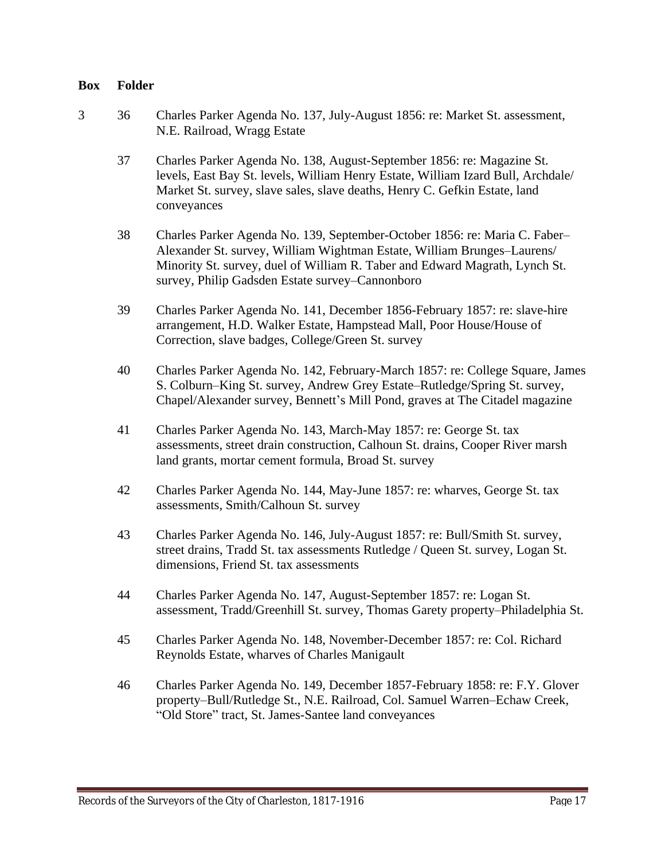- 3 36 Charles Parker Agenda No. 137, July-August 1856: re: Market St. assessment, N.E. Railroad, Wragg Estate
	- 37 Charles Parker Agenda No. 138, August-September 1856: re: Magazine St. levels, East Bay St. levels, William Henry Estate, William Izard Bull, Archdale/ Market St. survey, slave sales, slave deaths, Henry C. Gefkin Estate, land conveyances
	- 38 Charles Parker Agenda No. 139, September-October 1856: re: Maria C. Faber– Alexander St. survey, William Wightman Estate, William Brunges–Laurens/ Minority St. survey, duel of William R. Taber and Edward Magrath, Lynch St. survey, Philip Gadsden Estate survey–Cannonboro
	- 39 Charles Parker Agenda No. 141, December 1856-February 1857: re: slave-hire arrangement, H.D. Walker Estate, Hampstead Mall, Poor House/House of Correction, slave badges, College/Green St. survey
	- 40 Charles Parker Agenda No. 142, February-March 1857: re: College Square, James S. Colburn–King St. survey, Andrew Grey Estate–Rutledge/Spring St. survey, Chapel/Alexander survey, Bennett's Mill Pond, graves at The Citadel magazine
	- 41 Charles Parker Agenda No. 143, March-May 1857: re: George St. tax assessments, street drain construction, Calhoun St. drains, Cooper River marsh land grants, mortar cement formula, Broad St. survey
	- 42 Charles Parker Agenda No. 144, May-June 1857: re: wharves, George St. tax assessments, Smith/Calhoun St. survey
	- 43 Charles Parker Agenda No. 146, July-August 1857: re: Bull/Smith St. survey, street drains, Tradd St. tax assessments Rutledge / Queen St. survey, Logan St. dimensions, Friend St. tax assessments
	- 44 Charles Parker Agenda No. 147, August-September 1857: re: Logan St. assessment, Tradd/Greenhill St. survey, Thomas Garety property–Philadelphia St.
	- 45 Charles Parker Agenda No. 148, November-December 1857: re: Col. Richard Reynolds Estate, wharves of Charles Manigault
	- 46 Charles Parker Agenda No. 149, December 1857-February 1858: re: F.Y. Glover property–Bull/Rutledge St., N.E. Railroad, Col. Samuel Warren–Echaw Creek, "Old Store" tract, St. James-Santee land conveyances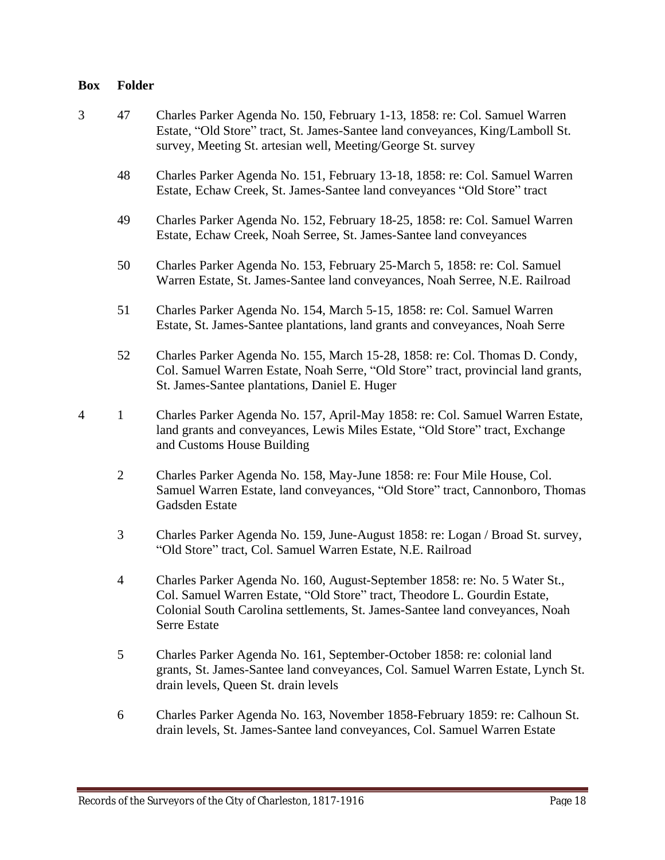- 3 47 Charles Parker Agenda No. 150, February 1-13, 1858: re: Col. Samuel Warren Estate, "Old Store" tract, St. James-Santee land conveyances, King/Lamboll St. survey, Meeting St. artesian well, Meeting/George St. survey
	- 48 Charles Parker Agenda No. 151, February 13-18, 1858: re: Col. Samuel Warren Estate, Echaw Creek, St. James-Santee land conveyances "Old Store" tract
	- 49 Charles Parker Agenda No. 152, February 18-25, 1858: re: Col. Samuel Warren Estate, Echaw Creek, Noah Serree, St. James-Santee land conveyances
	- 50 Charles Parker Agenda No. 153, February 25-March 5, 1858: re: Col. Samuel Warren Estate, St. James-Santee land conveyances, Noah Serree, N.E. Railroad
	- 51 Charles Parker Agenda No. 154, March 5-15, 1858: re: Col. Samuel Warren Estate, St. James-Santee plantations, land grants and conveyances, Noah Serre
	- 52 Charles Parker Agenda No. 155, March 15-28, 1858: re: Col. Thomas D. Condy, Col. Samuel Warren Estate, Noah Serre, "Old Store" tract, provincial land grants, St. James-Santee plantations, Daniel E. Huger
- 4 1 Charles Parker Agenda No. 157, April-May 1858: re: Col. Samuel Warren Estate, land grants and conveyances, Lewis Miles Estate, "Old Store" tract, Exchange and Customs House Building
	- 2 Charles Parker Agenda No. 158, May-June 1858: re: Four Mile House, Col. Samuel Warren Estate, land conveyances, "Old Store" tract, Cannonboro, Thomas Gadsden Estate
	- 3 Charles Parker Agenda No. 159, June-August 1858: re: Logan / Broad St. survey, "Old Store" tract, Col. Samuel Warren Estate, N.E. Railroad
	- 4 Charles Parker Agenda No. 160, August-September 1858: re: No. 5 Water St., Col. Samuel Warren Estate, "Old Store" tract, Theodore L. Gourdin Estate, Colonial South Carolina settlements, St. James-Santee land conveyances, Noah Serre Estate
	- 5 Charles Parker Agenda No. 161, September-October 1858: re: colonial land grants, St. James-Santee land conveyances, Col. Samuel Warren Estate, Lynch St. drain levels, Queen St. drain levels
	- 6 Charles Parker Agenda No. 163, November 1858-February 1859: re: Calhoun St. drain levels, St. James-Santee land conveyances, Col. Samuel Warren Estate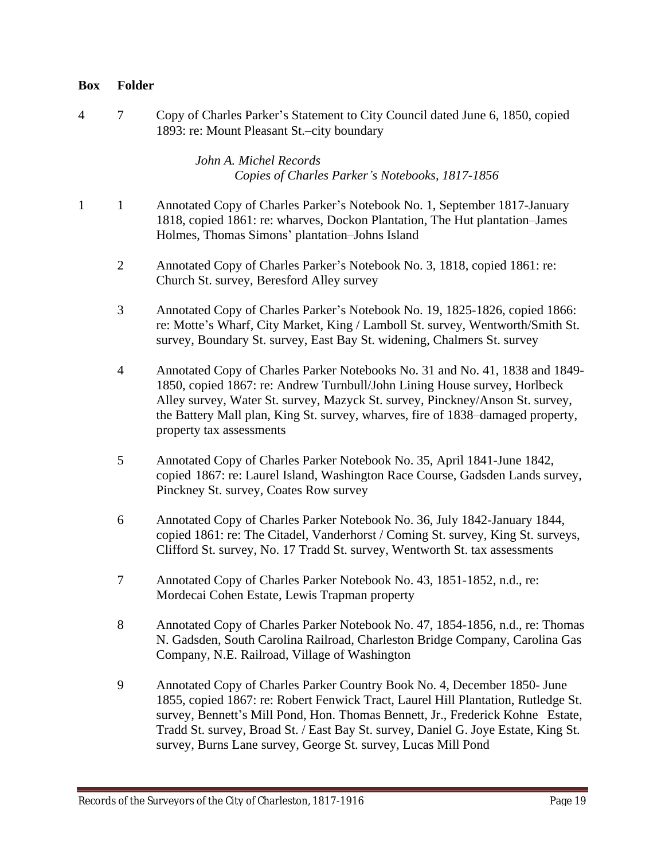4 7 Copy of Charles Parker's Statement to City Council dated June 6, 1850, copied 1893: re: Mount Pleasant St.–city boundary

## *John A. Michel Records Copies of Charles Parker's Notebooks, 1817-1856*

- 1 1 Annotated Copy of Charles Parker's Notebook No. 1, September 1817-January 1818, copied 1861: re: wharves, Dockon Plantation, The Hut plantation–James Holmes, Thomas Simons' plantation–Johns Island
	- 2 Annotated Copy of Charles Parker's Notebook No. 3, 1818, copied 1861: re: Church St. survey, Beresford Alley survey
	- 3 Annotated Copy of Charles Parker's Notebook No. 19, 1825-1826, copied 1866: re: Motte's Wharf, City Market, King / Lamboll St. survey, Wentworth/Smith St. survey, Boundary St. survey, East Bay St. widening, Chalmers St. survey
	- 4 Annotated Copy of Charles Parker Notebooks No. 31 and No. 41, 1838 and 1849- 1850, copied 1867: re: Andrew Turnbull/John Lining House survey, Horlbeck Alley survey, Water St. survey, Mazyck St. survey, Pinckney/Anson St. survey, the Battery Mall plan, King St. survey, wharves, fire of 1838–damaged property, property tax assessments
	- 5 Annotated Copy of Charles Parker Notebook No. 35, April 1841-June 1842, copied 1867: re: Laurel Island, Washington Race Course, Gadsden Lands survey, Pinckney St. survey, Coates Row survey
	- 6 Annotated Copy of Charles Parker Notebook No. 36, July 1842-January 1844, copied 1861: re: The Citadel, Vanderhorst / Coming St. survey, King St. surveys, Clifford St. survey, No. 17 Tradd St. survey, Wentworth St. tax assessments
	- 7 Annotated Copy of Charles Parker Notebook No. 43, 1851-1852, n.d., re: Mordecai Cohen Estate, Lewis Trapman property
	- 8 Annotated Copy of Charles Parker Notebook No. 47, 1854-1856, n.d., re: Thomas N. Gadsden, South Carolina Railroad, Charleston Bridge Company, Carolina Gas Company, N.E. Railroad, Village of Washington
	- 9 Annotated Copy of Charles Parker Country Book No. 4, December 1850- June 1855, copied 1867: re: Robert Fenwick Tract, Laurel Hill Plantation, Rutledge St. survey, Bennett's Mill Pond, Hon. Thomas Bennett, Jr., Frederick Kohne Estate, Tradd St. survey, Broad St. / East Bay St. survey, Daniel G. Joye Estate, King St. survey, Burns Lane survey, George St. survey, Lucas Mill Pond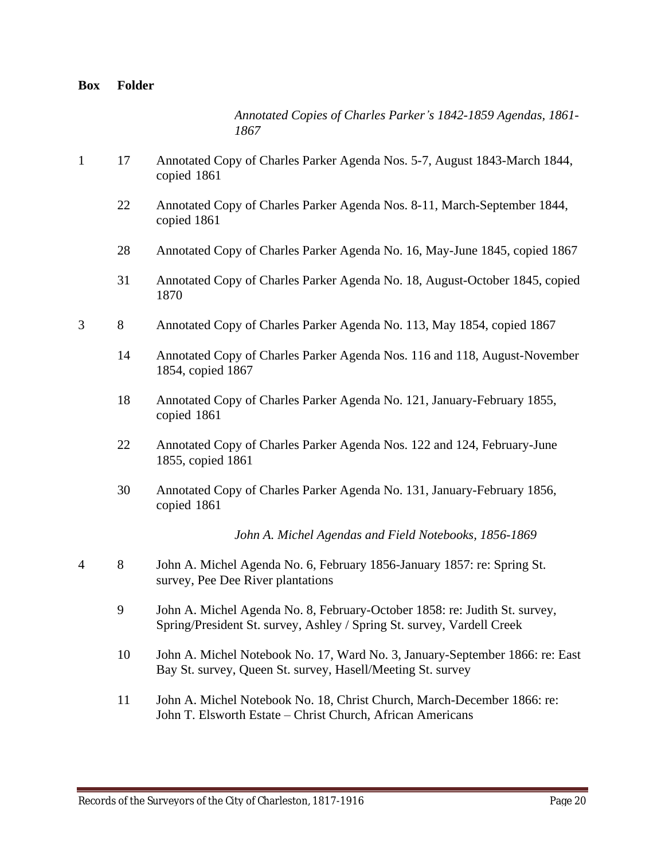*Annotated Copies of Charles Parker's 1842-1859 Agendas, 1861- 1867*

- 1 17 Annotated Copy of Charles Parker Agenda Nos. 5-7, August 1843-March 1844, copied 1861
	- 22 Annotated Copy of Charles Parker Agenda Nos. 8-11, March-September 1844, copied 1861
	- 28 Annotated Copy of Charles Parker Agenda No. 16, May-June 1845, copied 1867
	- 31 Annotated Copy of Charles Parker Agenda No. 18, August-October 1845, copied 1870
- 3 8 Annotated Copy of Charles Parker Agenda No. 113, May 1854, copied 1867
	- 14 Annotated Copy of Charles Parker Agenda Nos. 116 and 118, August-November 1854, copied 1867
	- 18 Annotated Copy of Charles Parker Agenda No. 121, January-February 1855, copied 1861
	- 22 Annotated Copy of Charles Parker Agenda Nos. 122 and 124, February-June 1855, copied 1861
	- 30 Annotated Copy of Charles Parker Agenda No. 131, January-February 1856, copied 1861

*John A. Michel Agendas and Field Notebooks, 1856-1869*

- 4 8 John A. Michel Agenda No. 6, February 1856-January 1857: re: Spring St. survey, Pee Dee River plantations
	- 9 John A. Michel Agenda No. 8, February-October 1858: re: Judith St. survey, Spring/President St. survey, Ashley / Spring St. survey, Vardell Creek
	- 10 John A. Michel Notebook No. 17, Ward No. 3, January-September 1866: re: East Bay St. survey, Queen St. survey, Hasell/Meeting St. survey
	- 11 John A. Michel Notebook No. 18, Christ Church, March-December 1866: re: John T. Elsworth Estate – Christ Church, African Americans